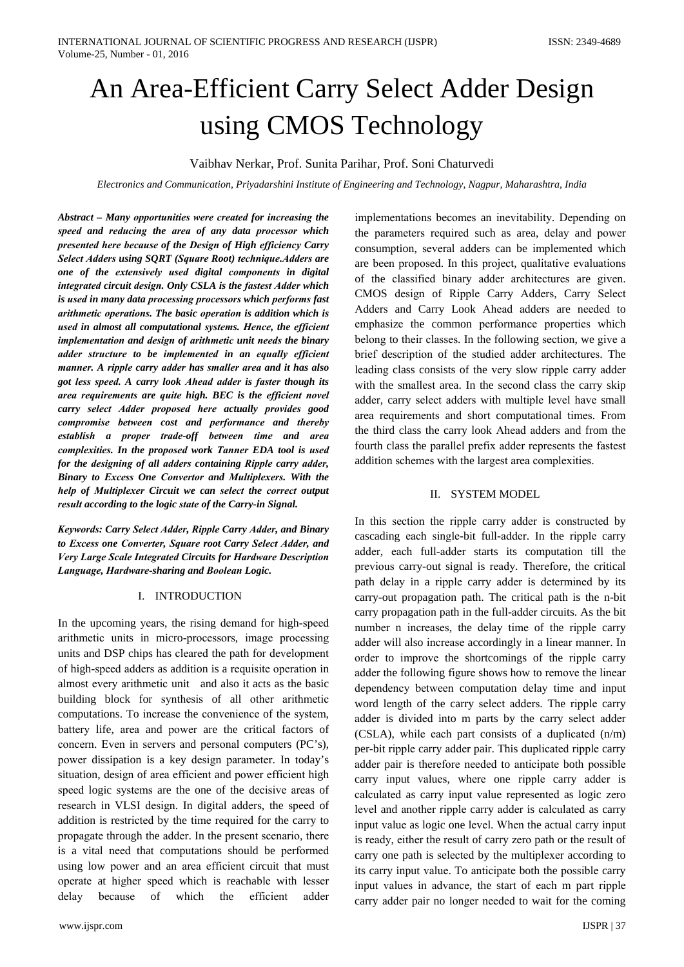# An Area-Efficient Carry Select Adder Design using CMOS Technology

Vaibhav Nerkar, Prof. Sunita Parihar, Prof. Soni Chaturvedi

Electronics and Communication, Priyadarshini Institute of Engineering and Technology, Nagpur, Maharashtra, India

Abstract - Many opportunities were created for increasing the speed and reducing the area of any data processor which presented here because of the Design of High efficiency Carry Select Adders using SQRT (Square Root) technique. Adders are one of the extensively used digital components in digital integrated circuit design. Only CSLA is the fastest Adder which is used in many data processing processors which performs fast arithmetic operations. The basic operation is addition which is used in almost all computational systems. Hence, the efficient implementation and design of arithmetic unit needs the binary adder structure to be implemented in an equally efficient manner. A ripple carry adder has smaller area and it has also got less speed. A carry look Ahead adder is faster though its area requirements are quite high. BEC is the efficient novel carry select Adder proposed here actually provides good compromise between cost and performance and thereby establish a proper trade-off between time and area complexities. In the proposed work Tanner EDA tool is used for the designing of all adders containing Ripple carry adder, Binary to Excess One Convertor and Multiplexers. With the help of Multiplexer Circuit we can select the correct output result according to the logic state of the Carry-in Signal.

Keywords: Carry Select Adder, Ripple Carry Adder, and Binary to Excess one Converter, Square root Carry Select Adder, and Very Large Scale Integrated Circuits for Hardware Description Language, Hardware-sharing and Boolean Logic.

#### I. INTRODUCTION

In the upcoming years, the rising demand for high-speed arithmetic units in micro-processors, image processing units and DSP chips has cleared the path for development of high-speed adders as addition is a requisite operation in almost every arithmetic unit and also it acts as the basic building block for synthesis of all other arithmetic computations. To increase the convenience of the system, battery life, area and power are the critical factors of concern. Even in servers and personal computers (PC's), power dissipation is a key design parameter. In today's situation, design of area efficient and power efficient high speed logic systems are the one of the decisive areas of research in VLSI design. In digital adders, the speed of addition is restricted by the time required for the carry to propagate through the adder. In the present scenario, there is a vital need that computations should be performed using low power and an area efficient circuit that must operate at higher speed which is reachable with lesser delay because of which the efficient adder

implementations becomes an inevitability. Depending on the parameters required such as area, delay and power consumption, several adders can be implemented which are been proposed. In this project, qualitative evaluations of the classified binary adder architectures are given. CMOS design of Ripple Carry Adders, Carry Select Adders and Carry Look Ahead adders are needed to emphasize the common performance properties which belong to their classes. In the following section, we give a brief description of the studied adder architectures. The leading class consists of the very slow ripple carry adder with the smallest area. In the second class the carry skip adder, carry select adders with multiple level have small area requirements and short computational times. From the third class the carry look Ahead adders and from the fourth class the parallel prefix adder represents the fastest addition schemes with the largest area complexities.

#### II. SYSTEM MODEL

In this section the ripple carry adder is constructed by cascading each single-bit full-adder. In the ripple carry adder, each full-adder starts its computation till the previous carry-out signal is ready. Therefore, the critical path delay in a ripple carry adder is determined by its carry-out propagation path. The critical path is the n-bit carry propagation path in the full-adder circuits. As the bit number n increases, the delay time of the ripple carry adder will also increase accordingly in a linear manner. In order to improve the shortcomings of the ripple carry adder the following figure shows how to remove the linear dependency between computation delay time and input word length of the carry select adders. The ripple carry adder is divided into m parts by the carry select adder (CSLA), while each part consists of a duplicated (n/m) per-bit ripple carry adder pair. This duplicated ripple carry adder pair is therefore needed to anticipate both possible carry input values, where one ripple carry adder is calculated as carry input value represented as logic zero level and another ripple carry adder is calculated as carry input value as logic one level. When the actual carry input is ready, either the result of carry zero path or the result of carry one path is selected by the multiplexer according to its carry input value. To anticipate both the possible carry input values in advance, the start of each m part ripple carry adder pair no longer needed to wait for the coming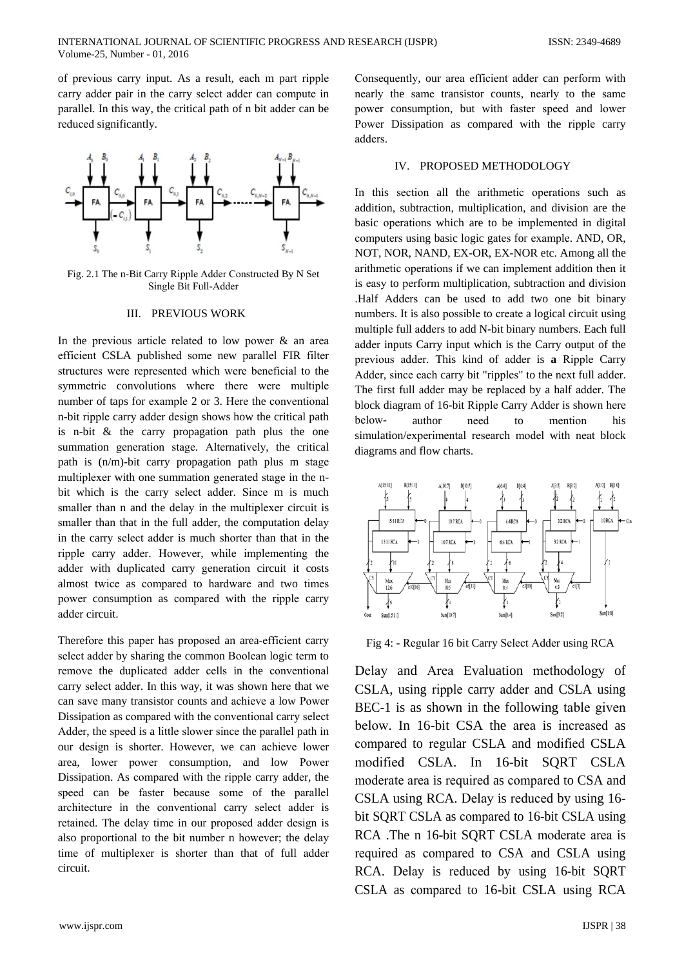of previous carry input. As a result, each m part ripple carry adder pair in the carry select adder can compute in parallel. In this way, the critical path of n bit adder can be reduced significantly.



Fig. 2.1 The n-Bit Carry Ripple Adder Constructed By N Set Single Bit Full-Adder

#### **III. PREVIOUS WORK**

In the previous article related to low power  $\&$  an area efficient CSLA published some new parallel FIR filter structures were represented which were beneficial to the symmetric convolutions where there were multiple number of taps for example 2 or 3. Here the conventional n-bit ripple carry adder design shows how the critical path is n-bit  $\&$  the carry propagation path plus the one summation generation stage. Alternatively, the critical path is (n/m)-bit carry propagation path plus m stage multiplexer with one summation generated stage in the nbit which is the carry select adder. Since m is much smaller than n and the delay in the multiplexer circuit is smaller than that in the full adder, the computation delay in the carry select adder is much shorter than that in the ripple carry adder. However, while implementing the adder with duplicated carry generation circuit it costs almost twice as compared to hardware and two times power consumption as compared with the ripple carry adder circuit.

Therefore this paper has proposed an area-efficient carry select adder by sharing the common Boolean logic term to remove the duplicated adder cells in the conventional carry select adder. In this way, it was shown here that we can save many transistor counts and achieve a low Power Dissipation as compared with the conventional carry select Adder, the speed is a little slower since the parallel path in our design is shorter. However, we can achieve lower area, lower power consumption, and low Power Dissipation. As compared with the ripple carry adder, the speed can be faster because some of the parallel architecture in the conventional carry select adder is retained. The delay time in our proposed adder design is also proportional to the bit number n however; the delay time of multiplexer is shorter than that of full adder circuit.

Consequently, our area efficient adder can perform with nearly the same transistor counts, nearly to the same power consumption, but with faster speed and lower Power Dissipation as compared with the ripple carry adders.

### IV. PROPOSED METHODOLOGY

In this section all the arithmetic operations such as addition, subtraction, multiplication, and division are the basic operations which are to be implemented in digital computers using basic logic gates for example. AND, OR, NOT, NOR, NAND, EX-OR, EX-NOR etc. Among all the arithmetic operations if we can implement addition then it is easy to perform multiplication, subtraction and division .Half Adders can be used to add two one bit binary numbers. It is also possible to create a logical circuit using multiple full adders to add N-bit binary numbers. Each full adder inputs Carry input which is the Carry output of the previous adder. This kind of adder is a Ripple Carry Adder, since each carry bit "ripples" to the next full adder. The first full adder may be replaced by a half adder. The block diagram of 16-bit Ripple Carry Adder is shown here belowauthor need mention his to simulation/experimental research model with neat block diagrams and flow charts.



Fig 4: - Regular 16 bit Carry Select Adder using RCA

Delay and Area Evaluation methodology of CSLA, using ripple carry adder and CSLA using BEC-1 is as shown in the following table given below. In 16-bit CSA the area is increased as compared to regular CSLA and modified CSLA modified CSLA. In 16-bit SORT CSLA moderate area is required as compared to CSA and CSLA using RCA. Delay is reduced by using 16bit SQRT CSLA as compared to 16-bit CSLA using RCA .The n 16-bit SQRT CSLA moderate area is required as compared to CSA and CSLA using RCA. Delay is reduced by using 16-bit SQRT CSLA as compared to 16-bit CSLA using RCA